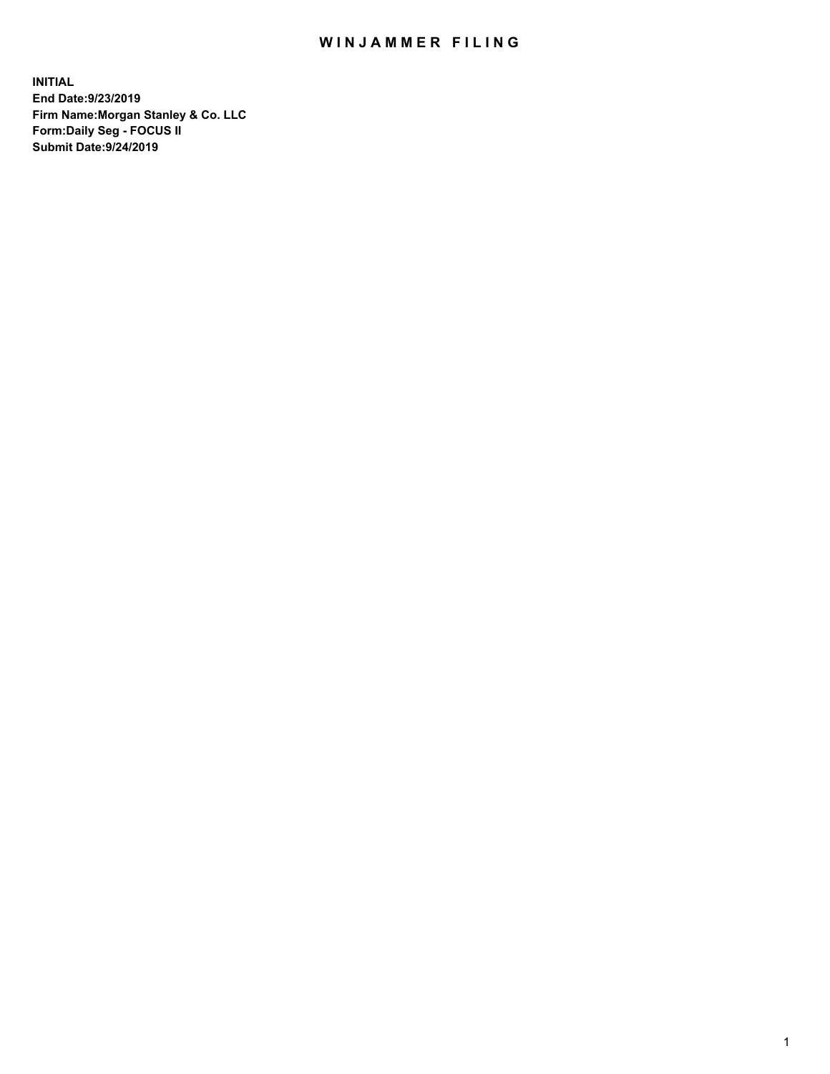## WIN JAMMER FILING

**INITIAL End Date:9/23/2019 Firm Name:Morgan Stanley & Co. LLC Form:Daily Seg - FOCUS II Submit Date:9/24/2019**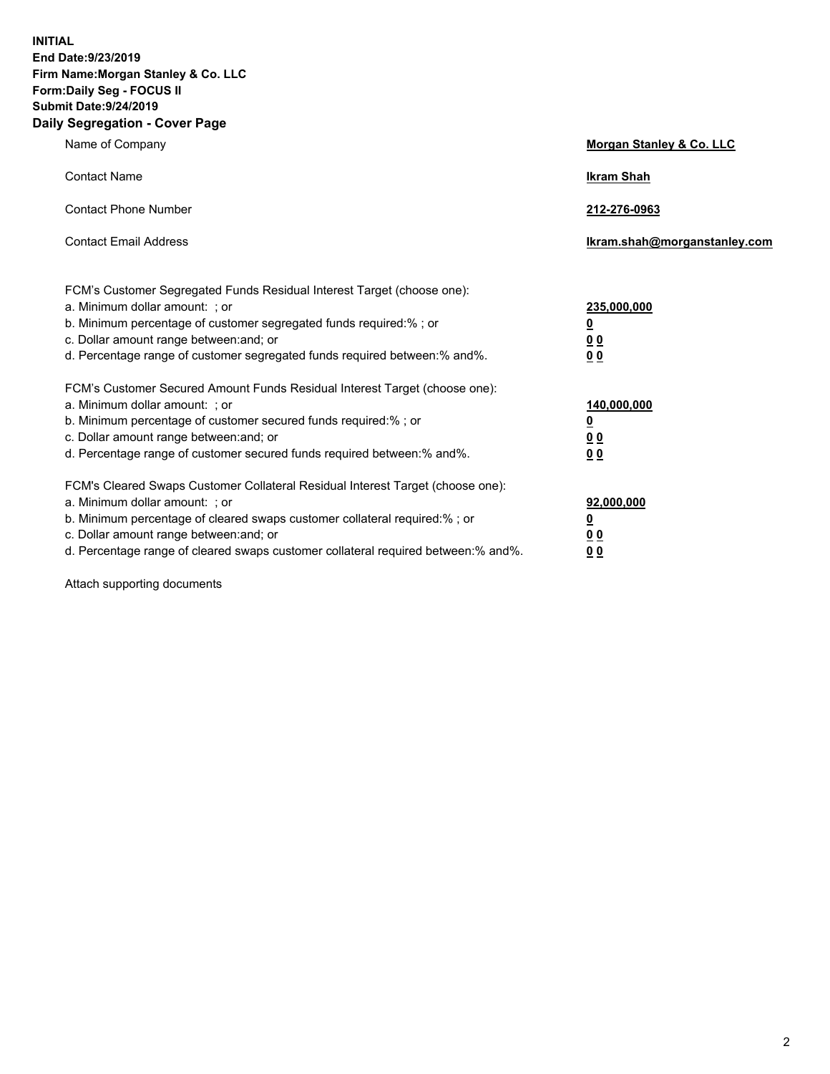**INITIAL End Date:9/23/2019 Firm Name:Morgan Stanley & Co. LLC Form:Daily Seg - FOCUS II Submit Date:9/24/2019 Daily Segregation - Cover Page**

| Name of Company                                                                                                                                                                                                                                                                                                                | Morgan Stanley & Co. LLC                               |
|--------------------------------------------------------------------------------------------------------------------------------------------------------------------------------------------------------------------------------------------------------------------------------------------------------------------------------|--------------------------------------------------------|
| <b>Contact Name</b>                                                                                                                                                                                                                                                                                                            | <b>Ikram Shah</b>                                      |
| <b>Contact Phone Number</b>                                                                                                                                                                                                                                                                                                    | 212-276-0963                                           |
| <b>Contact Email Address</b>                                                                                                                                                                                                                                                                                                   | lkram.shah@morganstanley.com                           |
| FCM's Customer Segregated Funds Residual Interest Target (choose one):<br>a. Minimum dollar amount: ; or<br>b. Minimum percentage of customer segregated funds required:% ; or<br>c. Dollar amount range between: and; or<br>d. Percentage range of customer segregated funds required between:% and%.                         | 235,000,000<br><u>0</u><br><u>0 0</u><br>0 Q           |
| FCM's Customer Secured Amount Funds Residual Interest Target (choose one):<br>a. Minimum dollar amount: ; or<br>b. Minimum percentage of customer secured funds required:%; or<br>c. Dollar amount range between: and; or<br>d. Percentage range of customer secured funds required between:% and%.                            | 140,000,000<br><u>0</u><br><u>00</u><br>0 <sub>0</sub> |
| FCM's Cleared Swaps Customer Collateral Residual Interest Target (choose one):<br>a. Minimum dollar amount: ; or<br>b. Minimum percentage of cleared swaps customer collateral required:% ; or<br>c. Dollar amount range between: and; or<br>d. Percentage range of cleared swaps customer collateral required between:% and%. | 92,000,000<br><u>0</u><br><u>00</u><br>0 <sup>0</sup>  |

Attach supporting documents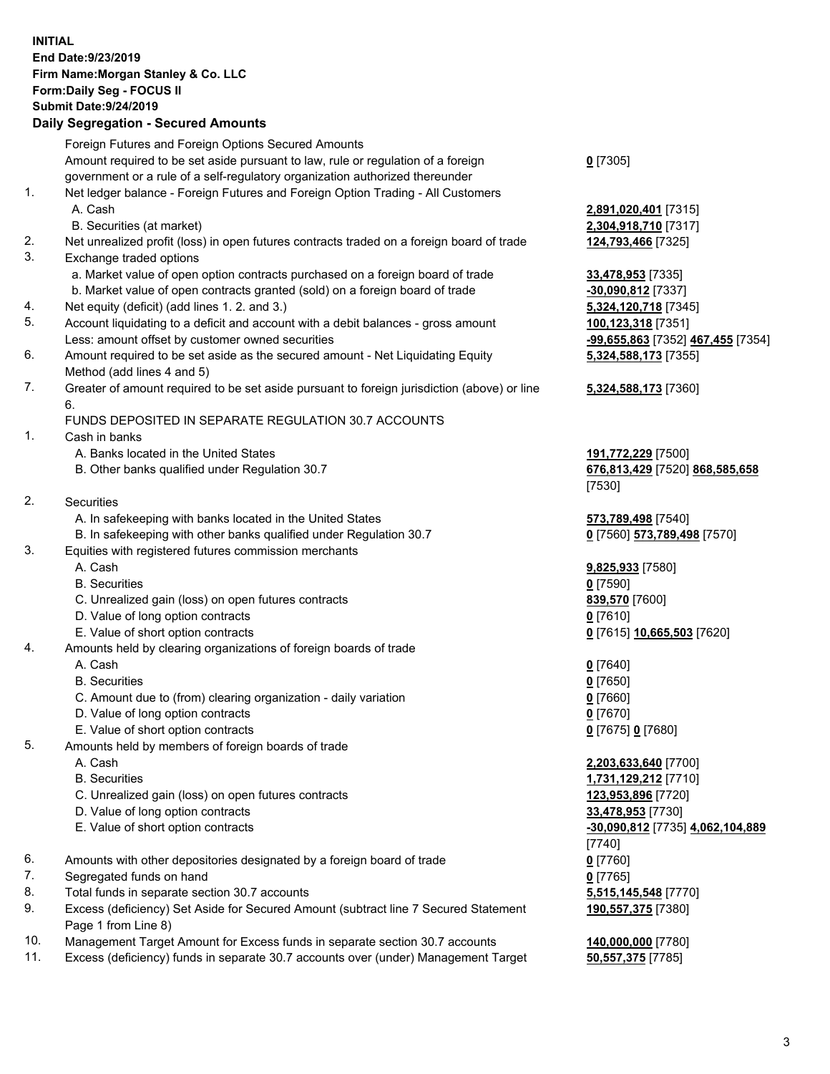## **INITIAL End Date:9/23/2019 Firm Name:Morgan Stanley & Co. LLC Form:Daily Seg - FOCUS II Submit Date:9/24/2019 Daily Segregation - Secured Amounts**

|     | Foreign Futures and Foreign Options Secured Amounts                                         |                                   |
|-----|---------------------------------------------------------------------------------------------|-----------------------------------|
|     | Amount required to be set aside pursuant to law, rule or regulation of a foreign            | $0$ [7305]                        |
|     | government or a rule of a self-regulatory organization authorized thereunder                |                                   |
| 1.  | Net ledger balance - Foreign Futures and Foreign Option Trading - All Customers             |                                   |
|     | A. Cash                                                                                     | 2,891,020,401 [7315]              |
|     | B. Securities (at market)                                                                   | 2,304,918,710 [7317]              |
| 2.  | Net unrealized profit (loss) in open futures contracts traded on a foreign board of trade   | 124,793,466 [7325]                |
| 3.  | Exchange traded options                                                                     |                                   |
|     | a. Market value of open option contracts purchased on a foreign board of trade              | 33,478,953 [7335]                 |
|     | b. Market value of open contracts granted (sold) on a foreign board of trade                | $-30,090,812$ [7337]              |
| 4.  | Net equity (deficit) (add lines 1.2. and 3.)                                                | 5,324,120,718 [7345]              |
| 5.  | Account liquidating to a deficit and account with a debit balances - gross amount           | 100,123,318 [7351]                |
|     | Less: amount offset by customer owned securities                                            | -99,655,863 [7352] 467,455 [7354] |
| 6.  | Amount required to be set aside as the secured amount - Net Liquidating Equity              | 5,324,588,173 [7355]              |
|     | Method (add lines 4 and 5)                                                                  |                                   |
| 7.  | Greater of amount required to be set aside pursuant to foreign jurisdiction (above) or line | 5,324,588,173 [7360]              |
|     | 6.                                                                                          |                                   |
|     | FUNDS DEPOSITED IN SEPARATE REGULATION 30.7 ACCOUNTS                                        |                                   |
| 1.  | Cash in banks                                                                               |                                   |
|     | A. Banks located in the United States                                                       | 191,772,229 [7500]                |
|     | B. Other banks qualified under Regulation 30.7                                              | 676,813,429 [7520] 868,585,658    |
|     |                                                                                             | [7530]                            |
| 2.  | Securities                                                                                  |                                   |
|     | A. In safekeeping with banks located in the United States                                   | 573,789,498 [7540]                |
|     | B. In safekeeping with other banks qualified under Regulation 30.7                          | 0 [7560] 573,789,498 [7570]       |
| 3.  | Equities with registered futures commission merchants                                       |                                   |
|     | A. Cash                                                                                     | 9,825,933 [7580]                  |
|     | <b>B.</b> Securities                                                                        | $0$ [7590]                        |
|     | C. Unrealized gain (loss) on open futures contracts                                         | 839,570 [7600]                    |
|     | D. Value of long option contracts                                                           | $0$ [7610]                        |
|     | E. Value of short option contracts                                                          | 0 [7615] 10,665,503 [7620]        |
| 4.  | Amounts held by clearing organizations of foreign boards of trade                           |                                   |
|     | A. Cash                                                                                     |                                   |
|     |                                                                                             | $0$ [7640]                        |
|     | <b>B.</b> Securities                                                                        | $0$ [7650]                        |
|     | C. Amount due to (from) clearing organization - daily variation                             | $0$ [7660]                        |
|     | D. Value of long option contracts                                                           | $0$ [7670]                        |
|     | E. Value of short option contracts                                                          | 0 [7675] 0 [7680]                 |
| 5.  | Amounts held by members of foreign boards of trade                                          |                                   |
|     | A. Cash                                                                                     | 2,203,633,640 [7700]              |
|     | <b>B.</b> Securities                                                                        | 1,731,129,212 [7710]              |
|     | C. Unrealized gain (loss) on open futures contracts                                         | 123,953,896 [7720]                |
|     | D. Value of long option contracts                                                           | 33,478,953 [7730]                 |
|     | E. Value of short option contracts                                                          | -30,090,812 [7735] 4,062,104,889  |
|     |                                                                                             | [7740]                            |
| 6.  | Amounts with other depositories designated by a foreign board of trade                      | $0$ [7760]                        |
| 7.  | Segregated funds on hand                                                                    | $0$ [7765]                        |
| 8.  | Total funds in separate section 30.7 accounts                                               | 5,515,145,548 [7770]              |
| 9.  | Excess (deficiency) Set Aside for Secured Amount (subtract line 7 Secured Statement         | 190,557,375 [7380]                |
|     | Page 1 from Line 8)                                                                         |                                   |
| 10. | Management Target Amount for Excess funds in separate section 30.7 accounts                 | 140,000,000 [7780]                |
| 11. | Excess (deficiency) funds in separate 30.7 accounts over (under) Management Target          | 50,557,375 [7785]                 |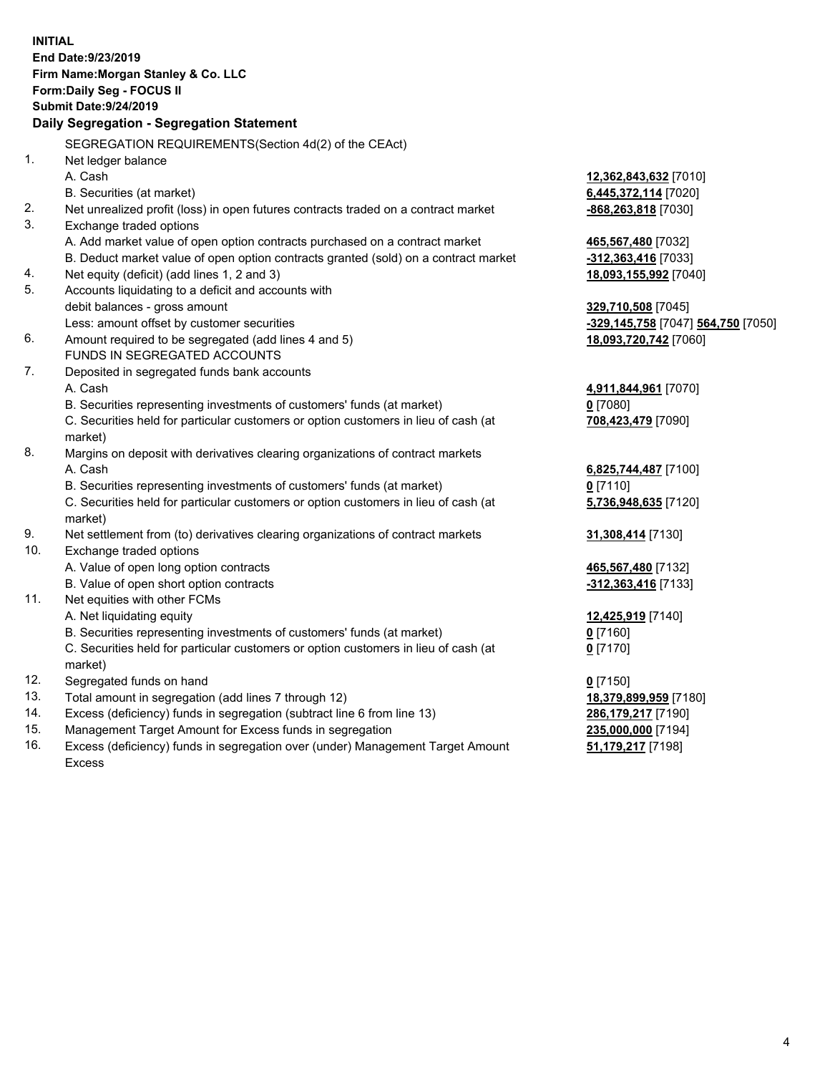**INITIAL End Date:9/23/2019 Firm Name:Morgan Stanley & Co. LLC Form:Daily Seg - FOCUS II Submit Date:9/24/2019 Daily Segregation - Segregation Statement** SEGREGATION REQUIREMENTS(Section 4d(2) of the CEAct) 1. Net ledger balance A. Cash **12,362,843,632** [7010] B. Securities (at market) **6,445,372,114** [7020] 2. Net unrealized profit (loss) in open futures contracts traded on a contract market **-868,263,818** [7030] 3. Exchange traded options A. Add market value of open option contracts purchased on a contract market **465,567,480** [7032] B. Deduct market value of open option contracts granted (sold) on a contract market **-312,363,416** [7033] 4. Net equity (deficit) (add lines 1, 2 and 3) **18,093,155,992** [7040] 5. Accounts liquidating to a deficit and accounts with debit balances - gross amount **329,710,508** [7045] Less: amount offset by customer securities **-329,145,758** [7047] **564,750** [7050] 6. Amount required to be segregated (add lines 4 and 5) **18,093,720,742** [7060] FUNDS IN SEGREGATED ACCOUNTS 7. Deposited in segregated funds bank accounts A. Cash **4,911,844,961** [7070] B. Securities representing investments of customers' funds (at market) **0** [7080] C. Securities held for particular customers or option customers in lieu of cash (at market) **708,423,479** [7090] 8. Margins on deposit with derivatives clearing organizations of contract markets A. Cash **6,825,744,487** [7100] B. Securities representing investments of customers' funds (at market) **0** [7110] C. Securities held for particular customers or option customers in lieu of cash (at market) **5,736,948,635** [7120] 9. Net settlement from (to) derivatives clearing organizations of contract markets **31,308,414** [7130] 10. Exchange traded options A. Value of open long option contracts **465,567,480** [7132] B. Value of open short option contracts **-312,363,416** [7133] 11. Net equities with other FCMs A. Net liquidating equity **12,425,919** [7140] B. Securities representing investments of customers' funds (at market) **0** [7160] C. Securities held for particular customers or option customers in lieu of cash (at market) **0** [7170] 12. Segregated funds on hand **0** [7150] 13. Total amount in segregation (add lines 7 through 12) **18,379,899,959** [7180] 14. Excess (deficiency) funds in segregation (subtract line 6 from line 13) **286,179,217** [7190] 15. Management Target Amount for Excess funds in segregation **235,000,000** [7194]

16. Excess (deficiency) funds in segregation over (under) Management Target Amount Excess

**51,179,217** [7198]